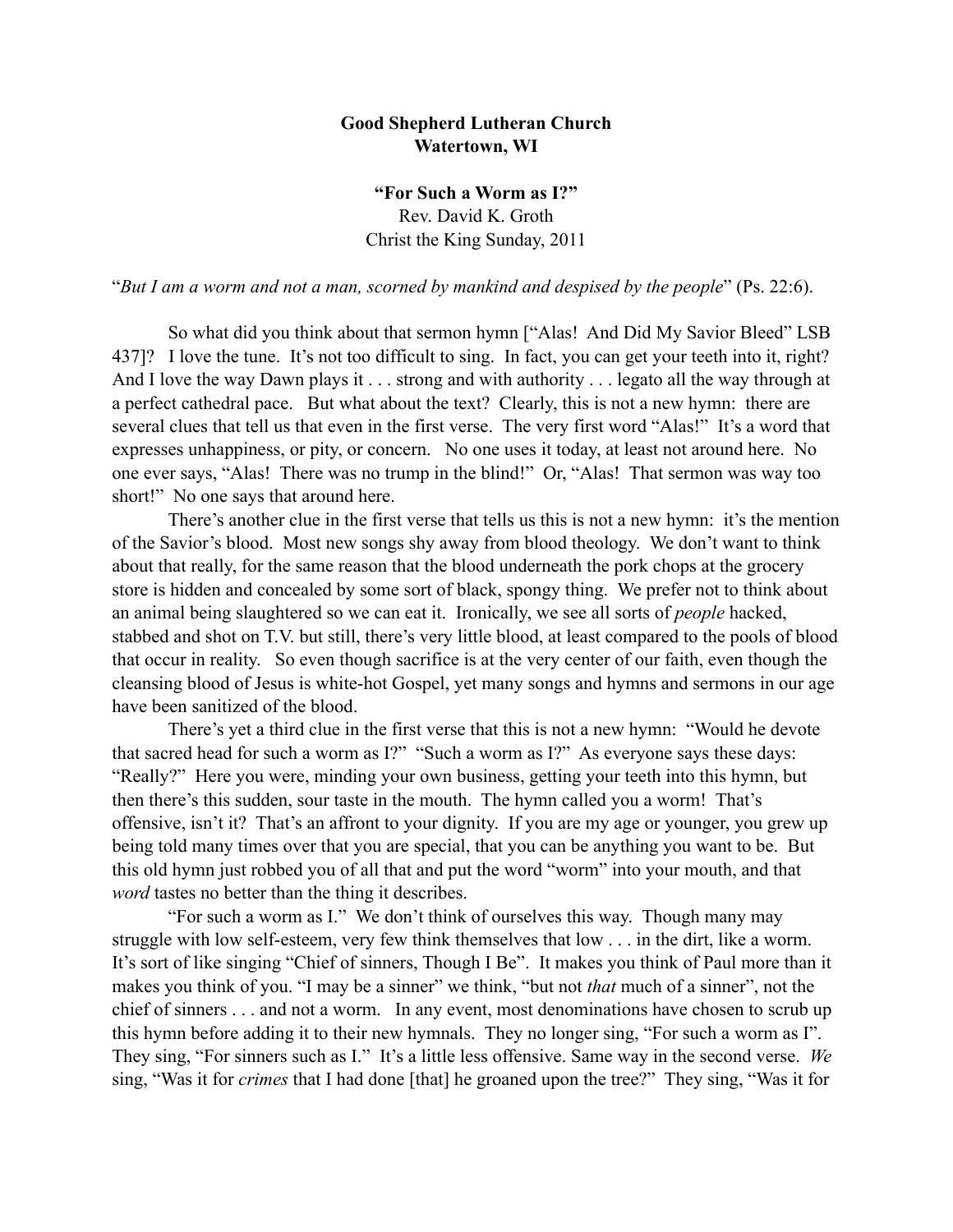## **Good Shepherd Lutheran Church Watertown, WI**

**"For Such a Worm as I?"** Rev. David K. Groth Christ the King Sunday, 2011

"*But I am a worm and not a man, scorned by mankind and despised by the people*" (Ps. 22:6).

 So what did you think about that sermon hymn ["Alas! And Did My Savior Bleed" LSB 437]? I love the tune. It's not too difficult to sing. In fact, you can get your teeth into it, right? And I love the way Dawn plays it . . . strong and with authority . . . legato all the way through at a perfect cathedral pace. But what about the text? Clearly, this is not a new hymn: there are several clues that tell us that even in the first verse. The very first word "Alas!" It's a word that expresses unhappiness, or pity, or concern. No one uses it today, at least not around here. No one ever says, "Alas! There was no trump in the blind!" Or, "Alas! That sermon was way too short!" No one says that around here.

There's another clue in the first verse that tells us this is not a new hymn: it's the mention of the Savior's blood. Most new songs shy away from blood theology. We don't want to think about that really, for the same reason that the blood underneath the pork chops at the grocery store is hidden and concealed by some sort of black, spongy thing. We prefer not to think about an animal being slaughtered so we can eat it. Ironically, we see all sorts of *people* hacked, stabbed and shot on T.V. but still, there's very little blood, at least compared to the pools of blood that occur in reality. So even though sacrifice is at the very center of our faith, even though the cleansing blood of Jesus is white-hot Gospel, yet many songs and hymns and sermons in our age have been sanitized of the blood.

There's yet a third clue in the first verse that this is not a new hymn: "Would he devote that sacred head for such a worm as I?" "Such a worm as I?" As everyone says these days: "Really?" Here you were, minding your own business, getting your teeth into this hymn, but then there's this sudden, sour taste in the mouth. The hymn called you a worm! That's offensive, isn't it? That's an affront to your dignity. If you are my age or younger, you grew up being told many times over that you are special, that you can be anything you want to be. But this old hymn just robbed you of all that and put the word "worm" into your mouth, and that *word* tastes no better than the thing it describes.

"For such a worm as I." We don't think of ourselves this way. Though many may struggle with low self-esteem, very few think themselves that low . . . in the dirt, like a worm. It's sort of like singing "Chief of sinners, Though I Be". It makes you think of Paul more than it makes you think of you. "I may be a sinner" we think, "but not *that* much of a sinner", not the chief of sinners . . . and not a worm. In any event, most denominations have chosen to scrub up this hymn before adding it to their new hymnals. They no longer sing, "For such a worm as I". They sing, "For sinners such as I." It's a little less offensive. Same way in the second verse. *We*  sing, "Was it for *crimes* that I had done [that] he groaned upon the tree?" They sing, "Was it for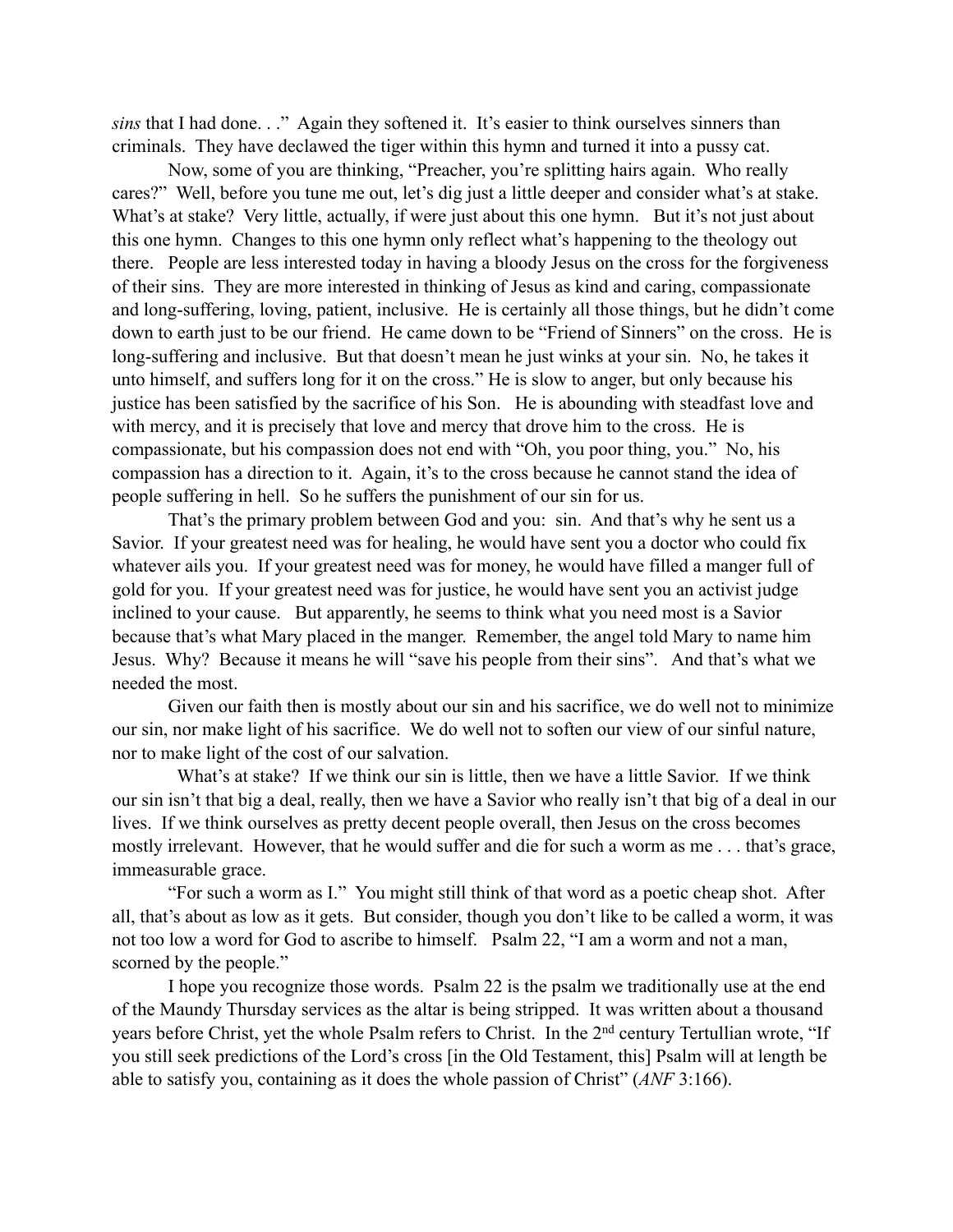*sins* that I had done. . ." Again they softened it. It's easier to think ourselves sinners than criminals. They have declawed the tiger within this hymn and turned it into a pussy cat.

Now, some of you are thinking, "Preacher, you're splitting hairs again. Who really cares?" Well, before you tune me out, let's dig just a little deeper and consider what's at stake. What's at stake? Very little, actually, if were just about this one hymn. But it's not just about this one hymn. Changes to this one hymn only reflect what's happening to the theology out there. People are less interested today in having a bloody Jesus on the cross for the forgiveness of their sins. They are more interested in thinking of Jesus as kind and caring, compassionate and long-suffering, loving, patient, inclusive. He is certainly all those things, but he didn't come down to earth just to be our friend. He came down to be "Friend of Sinners" on the cross. He is long-suffering and inclusive. But that doesn't mean he just winks at your sin. No, he takes it unto himself, and suffers long for it on the cross." He is slow to anger, but only because his justice has been satisfied by the sacrifice of his Son. He is abounding with steadfast love and with mercy, and it is precisely that love and mercy that drove him to the cross. He is compassionate, but his compassion does not end with "Oh, you poor thing, you." No, his compassion has a direction to it. Again, it's to the cross because he cannot stand the idea of people suffering in hell. So he suffers the punishment of our sin for us.

That's the primary problem between God and you: sin. And that's why he sent us a Savior. If your greatest need was for healing, he would have sent you a doctor who could fix whatever ails you. If your greatest need was for money, he would have filled a manger full of gold for you. If your greatest need was for justice, he would have sent you an activist judge inclined to your cause. But apparently, he seems to think what you need most is a Savior because that's what Mary placed in the manger. Remember, the angel told Mary to name him Jesus. Why? Because it means he will "save his people from their sins". And that's what we needed the most.

Given our faith then is mostly about our sin and his sacrifice, we do well not to minimize our sin, nor make light of his sacrifice. We do well not to soften our view of our sinful nature, nor to make light of the cost of our salvation.

 What's at stake? If we think our sin is little, then we have a little Savior. If we think our sin isn't that big a deal, really, then we have a Savior who really isn't that big of a deal in our lives. If we think ourselves as pretty decent people overall, then Jesus on the cross becomes mostly irrelevant. However, that he would suffer and die for such a worm as me . . . that's grace, immeasurable grace.

"For such a worm as I." You might still think of that word as a poetic cheap shot. After all, that's about as low as it gets. But consider, though you don't like to be called a worm, it was not too low a word for God to ascribe to himself. Psalm 22, "I am a worm and not a man, scorned by the people."

I hope you recognize those words. Psalm 22 is the psalm we traditionally use at the end of the Maundy Thursday services as the altar is being stripped. It was written about a thousand years before Christ, yet the whole Psalm refers to Christ. In the 2nd century Tertullian wrote, "If you still seek predictions of the Lord's cross [in the Old Testament, this] Psalm will at length be able to satisfy you, containing as it does the whole passion of Christ" (*ANF* 3:166).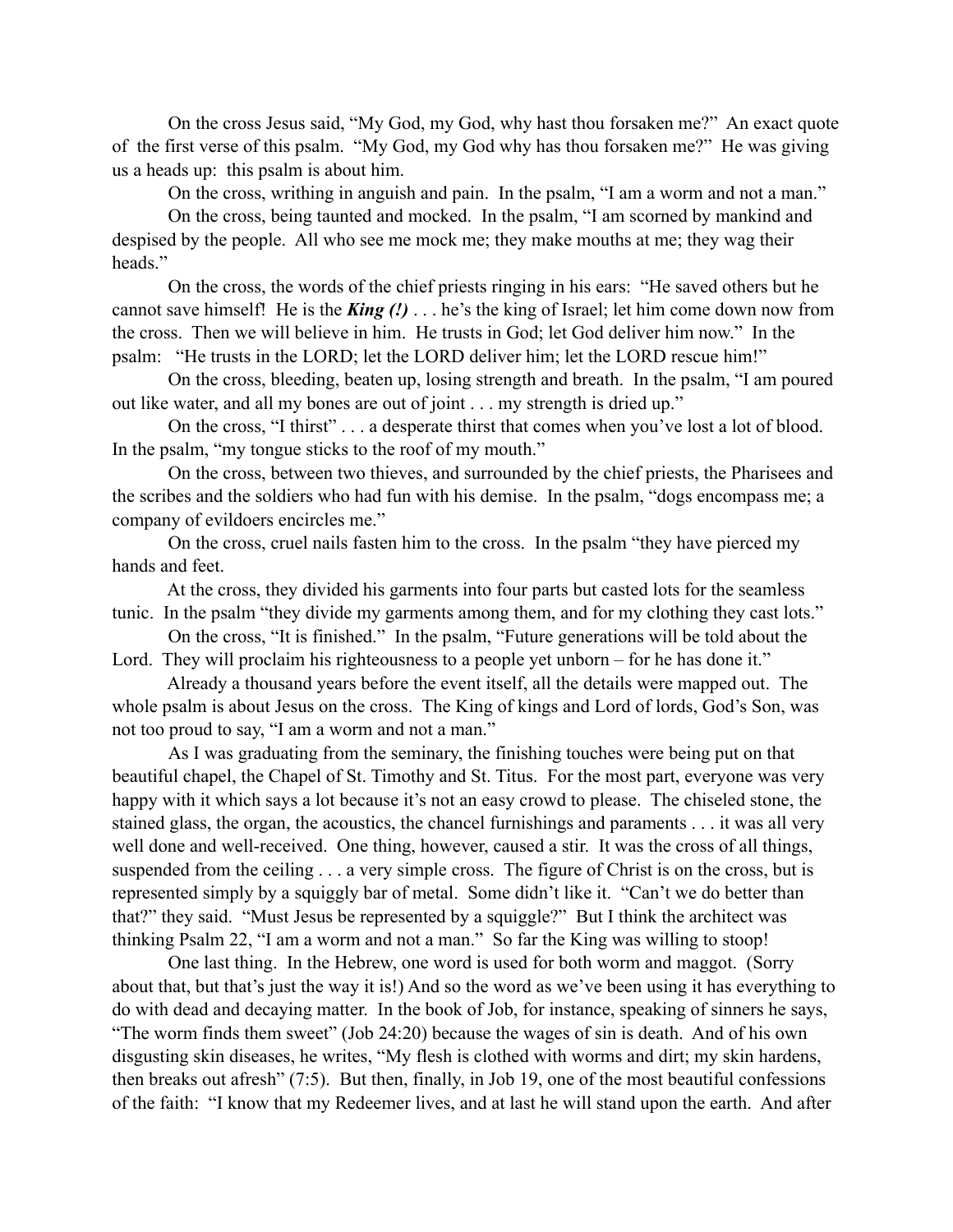On the cross Jesus said, "My God, my God, why hast thou forsaken me?" An exact quote of the first verse of this psalm. "My God, my God why has thou forsaken me?" He was giving us a heads up: this psalm is about him.

On the cross, writhing in anguish and pain. In the psalm, "I am a worm and not a man."

On the cross, being taunted and mocked. In the psalm, "I am scorned by mankind and despised by the people. All who see me mock me; they make mouths at me; they wag their heads."

On the cross, the words of the chief priests ringing in his ears: "He saved others but he cannot save himself! He is the *King (!)* . . . he's the king of Israel; let him come down now from the cross. Then we will believe in him. He trusts in God; let God deliver him now." In the psalm: "He trusts in the LORD; let the LORD deliver him; let the LORD rescue him!"

On the cross, bleeding, beaten up, losing strength and breath. In the psalm, "I am poured out like water, and all my bones are out of joint . . . my strength is dried up."

On the cross, "I thirst" . . . a desperate thirst that comes when you've lost a lot of blood. In the psalm, "my tongue sticks to the roof of my mouth."

On the cross, between two thieves, and surrounded by the chief priests, the Pharisees and the scribes and the soldiers who had fun with his demise. In the psalm, "dogs encompass me; a company of evildoers encircles me."

On the cross, cruel nails fasten him to the cross. In the psalm "they have pierced my hands and feet.

 At the cross, they divided his garments into four parts but casted lots for the seamless tunic. In the psalm "they divide my garments among them, and for my clothing they cast lots."

On the cross, "It is finished." In the psalm, "Future generations will be told about the Lord. They will proclaim his righteousness to a people yet unborn – for he has done it."

 Already a thousand years before the event itself, all the details were mapped out. The whole psalm is about Jesus on the cross. The King of kings and Lord of lords, God's Son, was not too proud to say, "I am a worm and not a man."

As I was graduating from the seminary, the finishing touches were being put on that beautiful chapel, the Chapel of St. Timothy and St. Titus. For the most part, everyone was very happy with it which says a lot because it's not an easy crowd to please. The chiseled stone, the stained glass, the organ, the acoustics, the chancel furnishings and paraments . . . it was all very well done and well-received. One thing, however, caused a stir. It was the cross of all things, suspended from the ceiling . . . a very simple cross. The figure of Christ is on the cross, but is represented simply by a squiggly bar of metal. Some didn't like it. "Can't we do better than that?" they said. "Must Jesus be represented by a squiggle?" But I think the architect was thinking Psalm 22, "I am a worm and not a man." So far the King was willing to stoop!

One last thing. In the Hebrew, one word is used for both worm and maggot. (Sorry about that, but that's just the way it is!) And so the word as we've been using it has everything to do with dead and decaying matter. In the book of Job, for instance, speaking of sinners he says, "The worm finds them sweet" (Job 24:20) because the wages of sin is death. And of his own disgusting skin diseases, he writes, "My flesh is clothed with worms and dirt; my skin hardens, then breaks out afresh" (7:5). But then, finally, in Job 19, one of the most beautiful confessions of the faith: "I know that my Redeemer lives, and at last he will stand upon the earth. And after